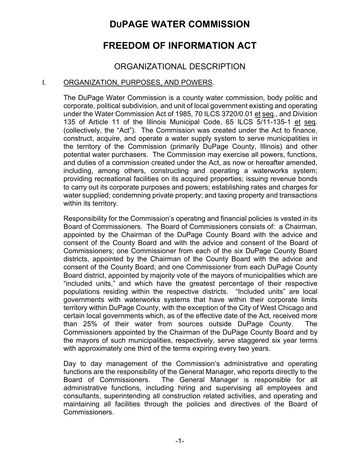# **DUPAGE WATER COMMISSION**

# **FREEDOM OF INFORMATION ACT**

# ORGANIZATIONAL DESCRIPTION

### I. ORGANIZATION, PURPOSES, AND POWERS.

The DuPage Water Commission is a county water commission, body politic and corporate, political subdivision, and unit of local government existing and operating under the Water Commission Act of 1985, 70 ILCS 3720/0.01 et seq., and Division 135 of Article 11 of the Illinois Municipal Code, 65 ILCS 5/11-135-1 et seq. (collectively, the "Act"). The Commission was created under the Act to finance, construct, acquire, and operate a water supply system to serve municipalities in the territory of the Commission (primarily DuPage County, Illinois) and other potential water purchasers. The Commission may exercise all powers, functions, and duties of a commission created under the Act, as now or hereafter amended, including, among others, constructing and operating a waterworks system; providing recreational facilities on its acquired properties; issuing revenue bonds to carry out its corporate purposes and powers; establishing rates and charges for water supplied; condemning private property; and taxing property and transactions within its territory.

Responsibility for the Commission's operating and financial policies is vested in its Board of Commissioners. The Board of Commissioners consists of: a Chairman, appointed by the Chairman of the DuPage County Board with the advice and consent of the County Board and with the advice and consent of the Board of Commissioners; one Commissioner from each of the six DuPage County Board districts, appointed by the Chairman of the County Board with the advice and consent of the County Board; and one Commissioner from each DuPage County Board district, appointed by majority vote of the mayors of municipalities which are "included units," and which have the greatest percentage of their respective populations residing within the respective districts. "Included units" are local governments with waterworks systems that have within their corporate limits territory within DuPage County, with the exception of the City of West Chicago and certain local governments which, as of the effective date of the Act, received more than 25% of their water from sources outside DuPage County. The Commissioners appointed by the Chairman of the DuPage County Board and by the mayors of such municipalities, respectively, serve staggered six year terms with approximately one third of the terms expiring every two years.

Day to day management of the Commission's administrative and operating functions are the responsibility of the General Manager, who reports directly to the Board of Commissioners. The General Manager is responsible for all administrative functions, including hiring and supervising all employees and consultants, superintending all construction related activities, and operating and maintaining all facilities through the policies and directives of the Board of Commissioners.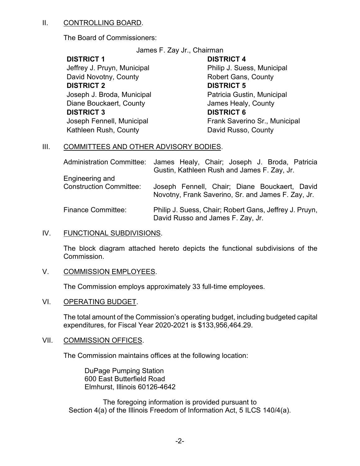#### II. CONTROLLING BOARD.

The Board of Commissioners:

James F. Zay Jr., Chairman

### **DISTRICT 1**

Jeffrey J. Pruyn, Municipal David Novotny, County **DISTRICT 2** Joseph J. Broda, Municipal Diane Bouckaert, County **DISTRICT 3** Joseph Fennell, Municipal Kathleen Rush, County

### **DISTRICT 4**

Philip J. Suess, Municipal Robert Gans, County **DISTRICT 5** Patricia Gustin, Municipal James Healy, County **DISTRICT 6** Frank Saverino Sr., Municipal David Russo, County

## III. COMMITTEES AND OTHER ADVISORY BODIES.

|                                                   | Administration Committee: James Healy, Chair; Joseph J. Broda, Patricia<br>Gustin, Kathleen Rush and James F. Zay, Jr. |
|---------------------------------------------------|------------------------------------------------------------------------------------------------------------------------|
| Engineering and<br><b>Construction Committee:</b> | Joseph Fennell, Chair; Diane Bouckaert, David<br>Novotny, Frank Saverino, Sr. and James F. Zay, Jr.                    |
| <b>Finance Committee:</b>                         | Philip J. Suess, Chair; Robert Gans, Jeffrey J. Pruyn,<br>David Russo and James F. Zay, Jr.                            |

#### IV. FUNCTIONAL SUBDIVISIONS.

The block diagram attached hereto depicts the functional subdivisions of the Commission.

#### V. COMMISSION EMPLOYEES.

The Commission employs approximately 33 full-time employees.

#### VI. OPERATING BUDGET.

The total amount of the Commission's operating budget, including budgeted capital expenditures, for Fiscal Year 2020-2021 is \$133,956,464.29.

#### VII. COMMISSION OFFICES.

The Commission maintains offices at the following location:

DuPage Pumping Station 600 East Butterfield Road Elmhurst, Illinois 60126-4642

The foregoing information is provided pursuant to Section 4(a) of the Illinois Freedom of Information Act, 5 ILCS 140/4(a).